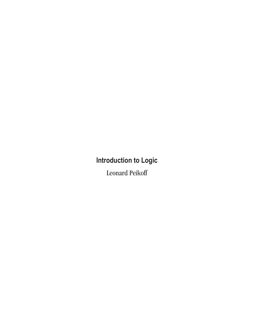# **Introduction to Logic**

Leonard Peikoff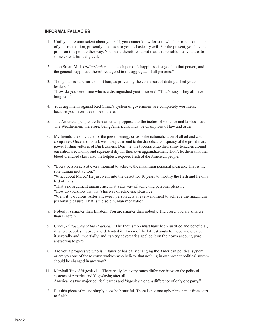#### **INFORMAL FALLACIES**

- 1. Until you are omniscient about yourself, you cannot know for sure whether or not some part of your motivation, presently unknown to you, is basically evil. For the present, you have no proof on this point either way. You must, therefore, admit that it is possible that you are, to some extent, basically evil.
- 2. John Stuart Mill, *Utilitarianism*: "... each person's happiness is a good to that person, and the general happiness, therefore, a good to the aggregate of all persons."
- 3. "Long hair is superior to short hair, as proved by the consensus of distinguished youth leaders." "How do you determine who is a distinguished youth leader?" "That's easy. They all have long hair."
- 4. Your arguments against Red China's system of government are completely worthless, because you haven't even been there.
- 5. The American people are fundamentally opposed to the tactics of violence and lawlessness. The Weathermen, therefore, being Americans, must be champions of law and order.
- 6. My friends, the only cure for the present energy crisis is the nationalization of all oil and coal companies. Once and for all, we must put an end to the diabolical conspiracy of the profit-mad, power-lusting vultures of Big Business. Don't let the tycoons wrap their slimy tentacles around our nation's economy, and squeeze it dry for their own aggrandizement. Don't let them sink their blood-drenched claws into the helpless, exposed flesh of the American people.
- 7. "Every person acts at every moment to achieve the maximum personal pleasure. That is the sole human motivation." "What about Mr. X? He just went into the desert for 10 years to mortify the flesh and lie on a bed of nails." "That's no argument against me. That's *his* way of achieving personal pleasure." "How do you know that that's his way of achieving pleasure?" "Well, it' s obvious. After all, every person acts at every moment to achieve the maximum personal pleasure. That is the sole human motivation."
- 8. Nobody is smarter than Einstein. You are smarter than nobody. Therefore, you are smarter than Einstein.
- 9. Croce, *Philosophy of the Practical*: "The Inquisition must have been justified and beneficial, if whole peoples invoked and defended it, if men of the loftiest souls founded and created it severally and impartially, and its very adversaries applied it on their own account, pyre answering to pyre."
- 10. Are you a progressive who is in favor of basically changing the American political system, or are you one of those conservatives who believe that nothing in our present political system should be changed in any way?
- 11. Marshall Tito of Yugoslavia: "There really isn't very much difference between the political systems of America and Yugoslavia; after all, America has two major political parties and Yugoslavia one, a difference of only one party."
- 12. But this piece of music simply *must* be beautiful. There is not one ugly phrase in it from start to finish.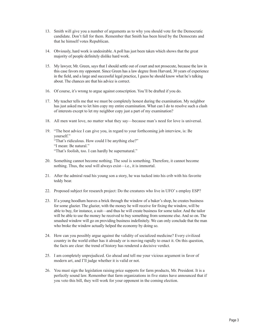- 13. Smith will give you a number of arguments as to why you should vote for the Democratic candidate. Don't fall for them. Remember that Smith has been hired by the Democrats and that he himself votes Republican.
- 14. Obviously, hard work is undesirable. A poll has just been taken which shows that the great majority of people definitely dislike hard work.
- 15. My lawyer, Mr. Green, says that I should settle out of court and not prosecute, because the law in this case favors my opponent. Since Green has a law degree from Harvard, 30 years of experience in the field, and a large and successful legal practice, I guess he should know what he's talking about. The chances are that his advice is correct.
- 16. Of course, it's wrong to argue against conscription. You'll be drafted if you do.
- 17. My teacher tells me that we must be completely honest during the examination. My neighbor has just asked me to let him copy my entire examination. What can I do to resolve such a clash of interests except to let my neighbor copy just a part of my examination?
- 18. All men want love, no matter what they say—because man's need for love is universal.
- 19. "The best advice I can give you, in regard to your forthcoming job interview, is: Be yourself." "That's ridiculous. How could I be anything else?" "I mean: Be natural." "That's foolish, too. I can hardly be supernatural."
- 20. Something cannot become nothing. The soul is something. Therefore, it cannot become nothing. Thus, the soul will always exist—i.e., it is immortal.
- 21. After the admiral read his young son a story, he was tucked into his crib with his favorite teddy bear.
- 22. Proposed subject for research project: Do the creatures who live in UFO's employ ESP?
- 23. If a young hoodlum heaves a brick through the window of a baker's shop, he creates business for some glazier. The glazier, with the money he will receive for fixing the window, will be able to buy, for instance, a suit—and thus he will create business for some tailor. And the tailor will be able to use the money he received to buy something from someone else. And so on. The smashed window will go on providing business indefinitely. We can only conclude that the man who broke the window actually helped the economy by doing so.
- 24. How can you possibly argue against the validity of socialized medicine? Every civilized country in the world either has it already or is moving rapidly to enact it. On this question, the facts are clear: the trend of history has rendered a decisive verdict.
- 25. I am completely unprejudiced. Go ahead and tell me your vicious argument in favor of modern art, and I'll judge whether it is valid or not.
- 26. You must sign the legislation raising price supports for farm products, Mr. President. It is a perfectly sound law. Remember that farm organizations in five states have announced that if you veto this bill, they will work for your opponent in the coming election.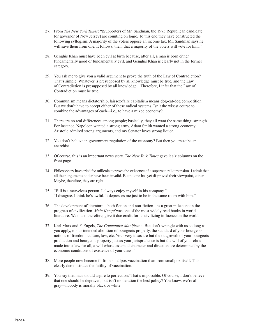- 27. From *The New York Times*: "[Supporters of Mr. Sandman, the 1973 Republican candidate for governor of New Jersey] are counting on logic. To this end they have constructed the following syllogism: A majority of the voters oppose an income tax. Mr. Sandman says he will save them from one. It follows, then, that a majority of the voters will vote for him."
- 28. Genghis Khan must have been evil at birth because, after all, a man is born either fundamentally good or fundamentally evil, and Genghis Khan is clearly not in the former category.
- 29. You ask me to give you a valid argument to prove the truth of the Law of Contradiction? That's simple. Whatever is presupposed by all knowledge must be true, and the Law of Contradiction is presupposed by all knowledge. Therefore, I infer that the Law of Contradiction must be true.
- 30. Communism means dictatorship; laissez-faire capitalism means dog-eat-dog competition. But we don't have to accept either of these radical systems. Isn't the wisest course to combine the advantages of each—i.e., to have a mixed economy?
- 31. There are no real differences among people; basically, they all want the same thing: strength. For instance, Napoleon wanted a strong army, Adam Smith wanted a strong economy, Aristotle admired strong arguments, and my Senator loves strong liquor.
- 32. You don't believe in government regulation of the economy? But then you must be an anarchist.
- 33. Of course, this is an important news story. *The New York Times* gave it six columns on the front page.
- 34. Philosophers have tried for millenia to prove the existence of a supernatural dimension. I admit that all their arguments so far have been invalid. But no one has yet disproved their viewpoint, either. Maybe, therefore, they are right.
- 35. "Bill is a marvelous person. I always enjoy myself in his company." "I disagree. I think he's awful. It depresses me just to be in the same room with him."
- 36. The development of literature—both fiction and non-fiction—is a great milestone in the progress of civilization. *Mein Kampf* was one of the most widely read books in world literature. We must, therefore, give it due credit for its civilizing influence on the world.
- 37. Karl Marx and F. Engels, *The Communist Manifesto*: "But don't wrangle with us so long as you apply, to our intended abolition of bourgeois property, the standard of your bourgeois notions of freedom, culture, law, etc. Your very ideas are but the outgrowth of your bourgeois production and bourgeois property just as your jurisprudence is but the will of your class made into a law for all, a will whose essential character and direction are determined by the economic conditions of existence of your class."
- 38. More people now become ill from smallpox vaccination than from smallpox itself. This clearly demonstrates the futility of vaccination.
- 39. You say that man should aspire to perfection? That's impossible. Of course, I don't believe that one should be depraved, but isn't moderation the best policy? You know, we're all gray—nobody is morally black or white.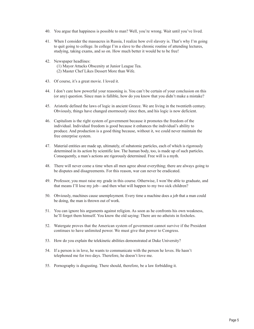- 40. You argue that happiness is possible to man? Well, you're wrong. Wait until you've lived.
- 41. When I consider the massacres in Russia, I realize how evil slavery is. That's why I'm going to quit going to college. In college I'm a slave to the chronic routine of attending lectures, studying, taking exams, and so on. How much better it would be to be free!
- 42. Newspaper headlines: (1) Mayor Attacks Obscenity at Junior League Tea. (2) Master Chef Likes Dessert More than Wife.
- 43. Of course, it's a great movie. I loved it.
- 44. I don't care how powerful your reasoning is. You can't be certain of your conclusion on this (or any) question. Since man is fallible, how do you know that you didn't make a mistake?
- 45. Aristotle defined the laws of logic in ancient Greece. We are living in the twentieth century. Obviously, things have changed enormously since then, and his logic is now deficient.
- 46. Capitalism is the right system of government because it promotes the freedom of the individual. Individual freedom is good because it enhances the individual's ability to produce. And production is a good thing because, without it, we could never maintain the free enterprise system.
- 47. Material entities are made up, ultimately, of subatomic particles, each of which is rigorously determined in its action by scientific law. The human body, too, is made up of such particles. Consequently, a man's actions are rigorously determined. Free will is a myth.
- 48. There will never come a time when all men agree about everything; there are always going to be disputes and disagreements. For this reason, war can never be eradicated.
- 49. Professor, you must raise my grade in this course. Otherwise, I won'tbe able to graduate, and that means I'll lose my job—and then what will happen to my two sick children?
- 50. Obviously, machines cause unemployment. Every time a machine does a job that a man could be doing, the man is thrown out of work.
- 51. You can ignore his arguments against religion. As soon as he confronts his own weakness, he'll forget them himself. You know the old saying: There are no atheists in foxholes.
- 52. Watergate proves that the American system of government cannot survive if the President continues to have unlimited power. We must give that power to Congress.
- 53. How do you explain the telekinetic abilities demonstrated at Duke University?
- 54. If a person is in love, he wants to communicate with the person he loves. He hasn't telephoned me for two days. Therefore, he doesn't love me.
- 55. Pornography is disgusting. There should, therefore, be a law forbidding it.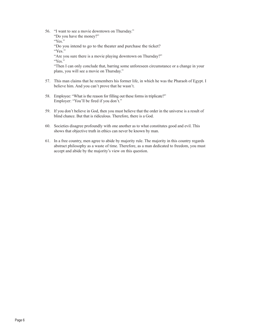- 56. "I want to see a movie downtown on Thursday."
	- "Do you have the money?"
	- "Yes."

 "Do you intend to go to the theater and purchase the ticket? "Yes."

 "Are you sure there is a movie playing downtown on Thursday?" "Yes." 

 "Then I can only conclude that, barring some unforeseen circumstance or a change in your plans, you will see a movie on Thursday."

- 57. This man claims that he remembers his former life, in which he was the Pharaoh of Egypt. I believe him. And you can't prove that he wasn't.
- 58. Employee: "What is the reason for filling out these forms in triplicate?" Employer: "You'll be fired if you don't."
- 59. If you don't believe in God, then you must believe that the order in the universe is a result of blind chance. But that is ridiculous. Therefore, there is a God.
- 60. Societies disagree profoundly with one another as to what constitutes good and evil. This shows that objective truth in ethics can never be known by man.
- 61. In a free country, men agree to abide by majority rule. The majority in this country regards abstract philosophy as a waste of time. Therefore, as a man dedicated to freedom, you must accept and abide by the majority's view on this question.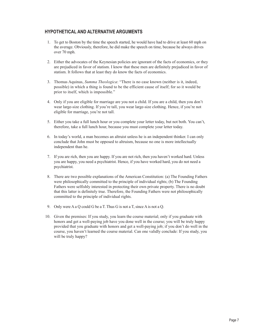# **HYPOTHETICAL AND ALTERNATIVE ARGUMENTS**

- 1. To get to Boston by the time the speech started, he would have had to drive at least 60 mph on the average. Obviously, therefore, he did make the speech on time, because he always drives over 70 mph.
- 2. Either the advocates of the Keynesian policies are ignorant of the facts of economics, or they are prejudiced in favor of statism. I know that these men are definitely prejudiced in favor of statism. It follows that at least they do know the facts of economics.
- 3. Thomas Aquinas, *Summa Theologica*: "There is no case known (neither is it, indeed, possible) in which a thing is found to be the efficient cause of itself; for so it would be prior to itself, which is impossible."
- 4. Only if you are eligible for marriage are you not a child. If you are a child, then you don't wear large-size clothing. If you're tall, you wear large-size clothing. Hence, if you're not eligible for marriage, you're not tall.
- 5. Either you take a full lunch hour or you complete your letter today, but not both. You can't, therefore, take a full lunch hour, because you must complete your letter today.
- 6. In today's world, a man becomes an altruist unless he is an independent thinker. I can only conclude that John must be opposed to altruism, because no one is more intellectually independent than he.
- 7. If you are rich, then you are happy. If you are not rich, then you haven't worked hard. Unless you are happy, you need a psychiatrist. Hence, if you have worked hard, you do not need a psychiatrist.
- 8. There are two possible explanations of the American Constitution: (a) The Founding Fathers were philosophically committed to the principle of individual rights; (b) The Founding Fathers were selfishly interested in protecting their own private property. There is no doubt that this latter is definitely true. Therefore, the Founding Fathers were not philosophically committed to the principle of individual rights.
- 9. Only were A a Q could G be a T. Thus G is not a T, since A is not a Q.
- 10. Given the premises: If you study, you learn the course material; only if you graduate with honors and get a well-paying job have you done well in the course; you will be truly happy provided that you graduate with honors and get a well-paying job; if you don't do well in the course, you haven't learned the course material. Can one validly conclude: If you study, you will be truly happy?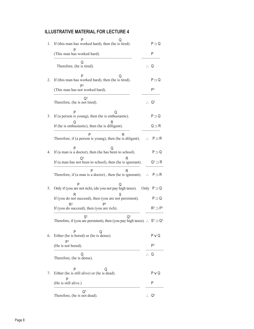| 1. | P<br>If (this man has worked hard), then (he is tired).                                                                                                 |                             | $P \supset Q$     |
|----|---------------------------------------------------------------------------------------------------------------------------------------------------------|-----------------------------|-------------------|
|    | (This man has worked hard).                                                                                                                             |                             | P                 |
|    | Therefore, (he is tired).                                                                                                                               | ∴ Q                         |                   |
| 2. | If (this man has worked hard), then (he is tired).<br>P1                                                                                                |                             | $P \supset Q$     |
|    | (This man has not worked hard).                                                                                                                         |                             | P <sup>1</sup>    |
|    | Therefore, (he is not tired).                                                                                                                           | $\therefore$ Q <sup>1</sup> |                   |
| 3. | If (a person is young), then (he is enthusiastic).                                                                                                      |                             | $P \supset Q$     |
|    | If (he is enthusiastic), then (he is dilligent).                                                                                                        |                             | Q⊃R               |
|    | P<br>R<br>Therefore, if (a person is young), then (he is diligent).                                                                                     | $\mathcal{L}$               | $P \supset R$     |
| 4. | If (a man is a doctor), then (he has been to school).                                                                                                   |                             | $P \supset Q$     |
|    | O1<br>If (a man has not been to school), then (he is ignorant).                                                                                         |                             | $Q^1 \supset R$   |
|    | P<br>Therefore, if (a man is a doctor), then (he is ignorant). $\therefore$ $P \supset R$                                                               |                             |                   |
| 5. | P<br>Only if (you are not rich), (do you not pay high taxes). Only $P \supset Q$                                                                        |                             |                   |
|    | К<br>If (you do not succeed), then (you are not persistent).                                                                                            |                             | $P \supset Q$     |
|    | R <sup>1</sup><br>P1<br>If (you do succeed), then (you are rich).                                                                                       |                             | $R^1 \supset P^1$ |
|    | S <sup>1</sup><br>O <sup>1</sup><br>Therefore, if (you are persistent), then (you pay high taxes). $\therefore$ S <sup>1</sup> $\supset$ Q <sup>1</sup> |                             |                   |
| 6. | P<br>Either (he is bored) or (he is dense).                                                                                                             |                             | $P \vee Q$        |
|    | P <sup>1</sup><br>(He is not bored).                                                                                                                    |                             | P <sup>1</sup>    |
|    | O<br>Therefore, (he is dense).                                                                                                                          | ∴.                          | Q                 |
| 7. | P<br>Either (he is still alive) or (he is dead).                                                                                                        |                             | PvQ               |
|    | P<br>(He is still alive.)                                                                                                                               |                             | Ρ                 |
|    | Q1<br>Therefore, (he is not dead).                                                                                                                      |                             | Q <sup>1</sup>    |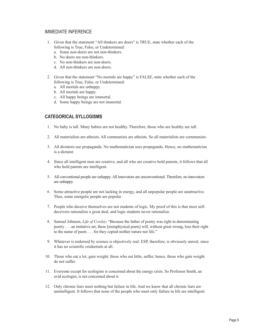#### IMMEDIATE INFERENCE

- 1. Given that the statement "All thinkers are doers" is TRUE, state whether each of the following is True, False, or Undetermined:
	- a. Some non-doers are not non-thinkers.
	- b. No doers are non-thinkers.
	- c. No non-thinkers are non-doers.
	- d. All non-thinkers are non-doers.
- 2. Given that the statement "No mortals are happy" is FALSE, state whether each of the following is True, False, or Undetermined:
	- a*.* All mortals are unhappy.
	- b. All mortals are happy.
	- c. All happy beings are immortal.
	- d. Some happy beings are not immortal.

# **CATEGORICAL SYLLOGISMS**

- 1. No baby is tall. Many babies are not healthy. Therefore, those who are healthy are tall.
- 2. All materialists are atheists. All communists are atheists. So all materialists are communists.
- 3. All dictators use propaganda. No mathematician uses propaganda. Hence, no mathematician is a dictator.
- 4. Since all intelligent men are creative, and all who are creative hold patents, it follows that all who hold patents are intelligent.
- 5. All conventional people are unhappy. All innovators are unconventional. Therefore, no innovators are unhappy.
- 6. Some attractive people are not lacking in energy, and all unpopular people are unattractive. Thus, some energetic people are popular.
- 7. People who deceive themselves are not students of logic. My proof of this is that most selfdeceivers rationalize a great deal, and logic students never rationalize.
- 8. Samuel Johnson, *Life of Cowley*: "Because the father of poetry was right in denominating poetry . . . an imitative art, these [metaphysical poets] will, without great wrong, lose their right to the name of poets . . . for they copied neither nature nor life."
- 9. Whatever is endorsed by science is objectively real. ESP, therefore, is obviously unreal, since it has no scientific credentials at all.
- 10. Those who eat a lot, gain weight; those who eat little, suffer; hence, those who gain weight do not suffer.
- 11. Everyone except for ecologists is concerned about the energy crisis. So Professor Smith, an avid ecologist, is not concerned about it.
- 12. Only chronic liars meet nothing but failure in life. And we know that all chronic liars are unintelligent. It follows that none of the people who meet only failure in life are intelligent.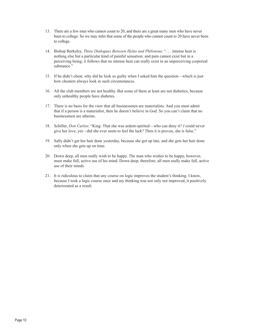- 13. There are a few men who cannot count to 20, and there are a great many men who have never been to college. So we may infer that some of the people who cannot count to 20 have never been to college.
- 14. Bishop Berkeley, *Three Dialogues Between Hylas and Philonous*: ". . . intense heat is nothing else but a particular kind of painful sensation; and pain cannot exist but in a perceiving being; it follows that no intense heat can really exist in an unperceiving corporeal substance."
- 15. If he didn't cheat, why did he look so guilty when I asked him the question—which is just how cheaters always look in such circumstances.
- 16. All the club members are not healthy. But some of them at least are not diabetics, because only unhealthy people have diabetes.
- 17. There is no basis for the view that all businessmen are materialists. And you must admit that if a person is a materialist, then he doesn't believe in God. So you can't claim that no businessmen are atheists.
- 18. Schiller, *Don Carlos*: "King: That she was ardent-spirited—who can deny it? *I* could never give her love, yet—did she ever seem to feel the lack? Then it is proven, she is false."
- 19. Sally didn't get her hair done yesterday, because she got up late, and she gets her hair done only when she gets up on time.
- 20. Down deep, all men really wish to be happy. The man who wishes to be happy, however, must make full, active use of his mind. Down deep, therefore, all men really make full, active use of their minds.
- 21. It is ridiculous to claim that any course on logic improves the student's thinking. I know, because I took a logic course once and my thinking was not only not improved, it positively deteriorated as a result.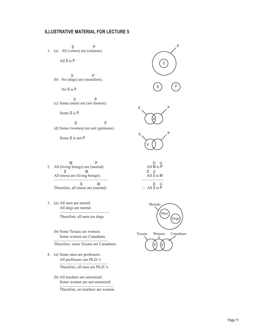S P 1. (a) All (voters) are (citizens).

 All S is P. 

 S P (b) No (dogs) are (moralists).

 No S is P.

 S P (c) Some (men) are (six-footers).

 Some S is P.

S P (d) Some (women) are not (geniuses).

 Some S is not P.



S M D U Therefore, all (men) are (mortal).  $\therefore$  All S is P



 3. (a) All men are mortal. All dogs are mortal.

 Therefore, all men are dogs.

(b) Some Texans are women. Some women are Canadians.

 Therefore, some Texans are Canadians.

4. (a) Some men are professors. All professors are Ph.D.'s

 Therefore, all men are Ph.D.'s.

(b) All teachers are unionized. Some women are not unionized.

 Therefore, no teachers are women.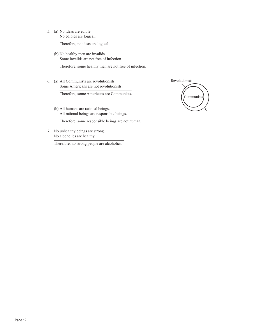5. (a) No ideas are edible. No edibles are logical.

 Therefore, no ideas are logical.

(b) No healthy men are invalids. Some invalids are not free of infection.

 Therefore, some healthy men are not free of infection.

 6. (a) All Communists are revolutionists. Some Americans are not revolutionists.

 Therefore, some Americans are Communists.

(b) All humans are rational beings. All rational beings are responsible beings.

 Therefore, some responsible beings are not human.

 7. No unhealthy beings are strong. No alcoholics are healthy.

 Therefore, no strong people are alcoholics.

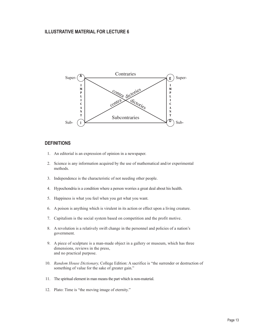

#### **DEFINITIONS**

- 1. An editorial is an expression of opinion in a newspaper.
- 2. Science is any information acquired by the use of mathematical and/or experimental methods.
- 3. Independence is the characteristic of not needing other people.
- 4. Hypochondria is a condition where a person worries a great deal about his health.
- 5. Happiness is what you feel when you get what you want.
- 6. A poison is anything which is virulent in its action or effect upon a living creature.
- 7. Capitalism is the social system based on competition and the profit motive.
- 8. A revolution is a relatively swift change in the personnel and policies of a nation's government.
- 9. A piece of sculpture is a man-made object in a gallery or museum, which has three dimensions, reviews in the press, and no practical purpose.
- 10. *Random House Dictionary,* College Edition: A sacrifice is "the surrender or destruction of something of value for the sake of greater gain."
- 11. The spiritual element in man means the part which is non-material.
- 12. Plato: Time is "the moving image of eternity."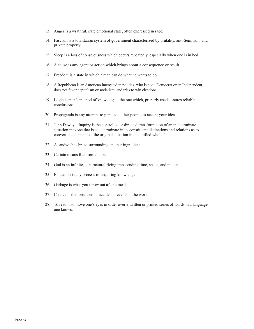- 13. Anger is a wrathful, irate emotional state, often expressed in rage.
- 14. Fascism is a totalitarian system of government characterized by brutality, anti-Semitism, and private property.
- 15. Sleep is a loss of consciousness which occurs repeatedly, especially when one is in bed.
- 16. A cause is any agent or action which brings about a consequence or result.
- 17. Freedom is a state in which a man can do what he wants to do.
- 18. A Republican is an American interested in politics, who is not a Democrat or an Independent, does not favor capitalism or socialism, and tries to win elections.
- 19. Logic is man's method of knowledge—the one which, properly used, assures reliable conclusions.
- 20. Propaganda is any attempt to persuade other people to accept your ideas.
- 21. John Dewey: "Inquiry is the controlled or directed transformation of an indeterminate situation into one that is so determinate in its constituent distinctions and relations as to convert the elements of the original situation into a unified whole."
- 22. A sandwich is bread surrounding another ingredient.
- 23. Certain means free from doubt.
- 24. God is an infinite, supernatural Being transcending time, space, and matter.
- 25. Education is any process of acquiring knowledge.
- 26. Garbage is what you throw out after a meal.
- 27. Chance is the fortuitous or accidental events in the world.
- 28. To read is to move one's eyes in order over a written or printed series of words in a language one knows.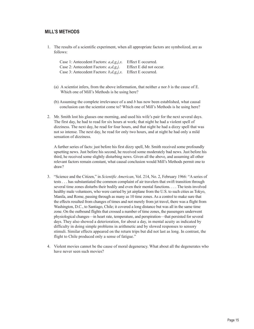#### **MILL'S METHODS**

1. The results of a scientific experiment, when all appropriate factors are symbolized, are as follows: 

 Case 1: Antecedent Factors: *a,d,g,j,x.* Effect E occurred. Case 2: Antecedent Factors: *a,d,g,j.* Effect E did not occur. Case 3: Antecedent Factors: *b,d,g,j,x.* Effect E occurred.

- (a) A scientist infers, from the above information, that neither  $a$  nor  $b$  is the cause of E. Which one of Mill's Methods is he using here?
- (b) Assuming the complete irrelevance of a and *b* has now been established, what causal conclusion can the scientist come to? Which one of Mill's Methods is he using here?
- 2. Mr. Smith lost his glasses one morning, and used his wife's pair for the next several days. The first day, he had to read for six hours at work; that night he had a violent spell of dizziness. The next day, he read for four hours, and that night he had a dizzy spell that was not so intense. The next day, he read for only two hours, and at night he had only a mild sensation of dizziness.

 A further series of facts: just before his first dizzy spell, Mr. Smith received some profoundly upsetting news. Just before his second, he received some moderately bad news. Just before his third, he received some slightly disturbing news. Given all the above, and assuming all other relevant factors remain constant, what causal conclusion would Mill's Methods permit one to draw?

- 3. "Science and the Citizen," in *Scientific American*, Vol. 214, No. 2, February 1966: "A series of tests . . . has substantiated the common complaint of air travelers that swift transition through several time zones disturbs their bodily and even their mental functions. . . . The tests involved healthy male volunteers, who were carried by jet airplane from the U.S. to such cities as Tokyo, Manila, and Rome, passing through as many as 10 time zones. As a control to make sure that the effects resulted from changes of times and not merely from jet travel, there was a flight from Washington, D.C., to Santiago, Chile; it covered a long distance but was all in the same time zone. On the outbound flights that crossed a number of time zones, the passengers underwent physiological changes—in heart rate, temperature, and perspiration—that persisted for several days. They also showed a deterioration, for about a day, in mental acuity as indicated by difficulty in doing simple problems in arithmetic and by slowed responses to sensory stimuli. Similar effects appeared on the return trips but did not last as long. In contrast, the flight to Chile produced only a sense of fatigue."
- 4. Violent movies cannot be the cause of moral degeneracy. What about all the degenerates who have never seen such movies?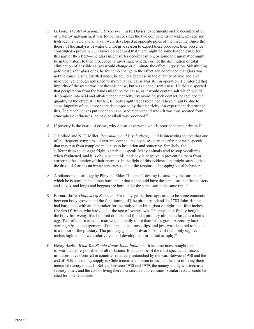- 5. G. Gore, *The Art of Scientific Discovery*: "In H. Davies' experiments on the decomposition of water by galvanism, it was found that besides the two components of water, oxygen and hydrogen, an acid and an alkali were developed at opposite poles of the machine. Since the theory of the analysis of water did not give reason to expect these products, their presence constituted a problem. . . . Davies conjectured that there might be some hidden cause for this part of the effect—the glass might suffer decomposition, or some foreign matter might be in the water. He then proceeded to investigate whether or not the diminution or total elimination of possible causes would change or eliminate the effect in question. Substituting gold vessels for glass ones, he found no change in the effect and concluded that glass was not the cause. Using distilled water, he found a decrease in the quantity of acid and alkali involved, yet enough remained to show that the cause was still in operation. He inferred that impurity of the water was not the sole cause, but was a concurrent cause. He then suspected that perspiration from the hands might be the cause, as it would contain salt which would decompose into acid and alkali under electricity. By avoiding such contact, he reduced the quantity of the effect still further, till only slight traces remained. These might be due to some impurity of the atmosphere decomposed by the electricity. An experiment determined this. The machine was put under an exhausted receiver and when it was thus secured from atmospheric influences, no acid or alkali was produced."
- 6. If poverty is the cause of crime, why doesn't everyone who is poor become a criminal?
- 7. J. Dollard and N. E. Miller, *Personality and Psychotherapy*: "It is interesting to note that one of the frequent symptoms of extreme combat anxiety cases is an interference with speech that may run from complete muteness to hesitation and stuttering. Similarly, the sufferer from acute stage fright is unable to speak. Many animals tend to stop vocalizing when frightened, and it is obvious that this tendency is adaptive in preventing them from attracting the attention of their enemies. In the light of this evidence one might suspect that the drive of fear has an innate tendency to elicit the response of stopping vocal behavior."
- 8. A refutation of astrology by Pliny the Elder: "If a man's destiny is caused by the star under which he is born, then all men born under that star should have the same fortune. But masters and slaves, and kings and beggars are born under the same star at the same time."
- 9. Bernard Jaffe, *Outposts of Science*: "For many years, there appeared to be some connection between body growth and the functioning of [the pituitary] gland. In 1783 John Hunter had bargained with an undertaker for the body of an Irish giant of eight feet, four inches— Charles O'Brien, who had died at the age of twenty-two. The physician finally bought the body for twenty-five hundred dollars, and found a pituitary almost as large as a hen's egg. That of a normal adult man weighs hardly more than half a gram. A century later, *acromegaly,* an enlargement of the hands, feet, nose, lips, and jaw, was declared to be due to a tumor of the pituitary. The pituitary glands of dwarfs, some of them only eighteen inches high, all showed relatively small development or partial atrophy."
- 10. Henry Hazlitt, *What You Should Know About Inflation*: "It is sometimes thought that it is 'war'that is responsible for all inflations. But . . . some of the most spectacular recent inflations have occurred in countries relatively untouched by the war. Between 1950 and the end of 1959, the money supply in Chile increased nineteen times, and the cost of living there increased twenty times. In Bolivia, between 1950 and 1959, the money supply was increased seventy times, and the cost of living there increased a hundred times. Similar records could be cited for other countries."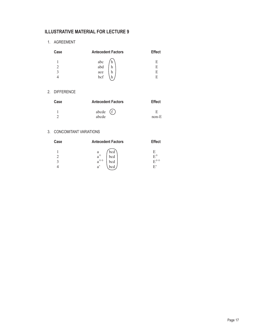1. AGREEMENT

| Case | <b>Antecedent Factors</b>                  | <b>Effect</b> |
|------|--------------------------------------------|---------------|
|      |                                            | Е             |
|      | abc $\begin{pmatrix} h \\ h \end{pmatrix}$ | F             |
|      | h                                          | F             |
|      | ace<br>bcf                                 | Е             |
|      |                                            |               |

#### 2. DIFFERENCE

| Case | <b>Antecedent Factors</b> | <b>Effect</b> |
|------|---------------------------|---------------|
|      | abcde $(f)$               | F             |
|      | abcde                     | $non-E$       |

# 3. CONCOMITANT VARIATIONS

| Case | <b>Antecedent Factors</b>                           | <b>Effect</b>      |
|------|-----------------------------------------------------|--------------------|
|      | bcd<br>$a_+$<br>bcd<br>----<br>bcd<br>a<br>bcd<br>a | E<br>E.<br>F<br>F- |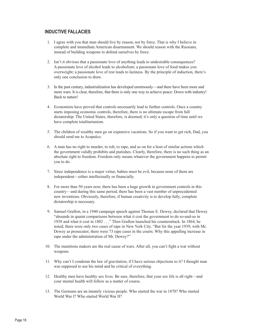# **INDUCTIVE FALLACIES**

- 1. I agree with you that men should live by reason, not by force. That is why I believe in complete and immediate American disarmament. We should reason with the Russians, instead of building weapons to defend ourselves by force.
- 2. Isn't it obvious that a passionate love of anything leads to undesirable consequences? A passionate love of alcohol leads to alcoholism; a passionate love of food makes you overweight; a passionate love of rest leads to laziness. By the principle of induction, there's only one conclusion to draw.
- 3. In the past century, industrialization has developed enormously—and there have been more and more wars. It is clear, therefore, that there is only one way to achieve peace: Down with industry! Back to nature!
- 4. Economists have proved that controls necessarily lead to further controls. Once a country starts imposing economic controls, therefore, there is no ultimate escape from full dictatorship. The United States, therefore, is doomed; it's only a question of time until we have complete totalitarianism.
- 5. The children of wealthy men go on expensive vacations. So if you want to get rich, Dad, you should send me to Acapulco.
- 6. A man has no right to murder, to rob, to rape, and so on for a host of similar actions which the government validly prohibits and punishes. Clearly, therefore, there is no such thing as an absolute right to freedom. Freedom only means whatever the government happens to permit you to do.
- 7. Since independence is a major virtue, babies must be evil, because none of them are independent—either intellectually or financially.
- 8. For more than 50 years now, there has been a huge growth in government controls in this country—and during this same period, there has been a vast number of unprecedented new inventions. Obviously, therefore, if human creativity is to develop fully, complete dictatorship is necessary.
- 9. Samuel Grafton, in a 1940 campaign speech against Thomas E. Dewey, declared that Dewey "abounds in quaint comparisons between what it cost the government to do so-and-so in 1938 and what it cost in 1802 . . ." Then Grafton launched his counterattack. In 1864, he noted, there were only two cases of rape in New York City. "But for the year 1939, with Mr. Dewey as prosecutor, there were 73 rape cases in the courts. Why this appalling increase in rape under the administration of Mr. Dewey?"
- 10. The munitions makers are the real cause of wars. After all, you can't fight a war without weapons.
- 11. Why can't I condemn the law of gravitation, if I have serious objections to it? I thought man was supposed to use his mind and be critical of everything.
- 12. Healthy men have healthy sex lives. Be sure, therefore, that your sex life is all right—and your mental health will follow as a matter of course.
- 13. The Germans are an innately vicious people. Who started the war in 1870? Who started World War I? Who started World War II?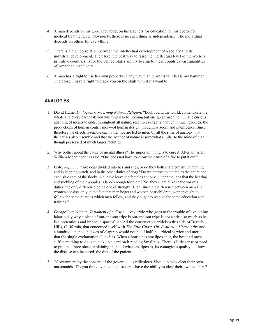- 14. A man depends on his grocer for food, on his teachers for education, on his doctor for medical treatment, etc. Obviously, there is no such thing as independence. The individual depends on others for everything.
- 15. There is a high correlation between the intellectual development of a society and its industrial development. Therefore, the best way to raise the intellectual level of the world's primitive countries, is for the United States simply to ship to these countries vast quantities of American machinery.
- 16. A man has a right to use his own property in any way that he wants to. This is my hammer. Therefore, I have a right to crack you on the skull with it if I want to.

## **ANALOGIES**

- 1. David Hume, *Dialogues Concerning Natural Religion*: "Look round the world, contemplate the whole and every part of it: you will find it to be nothing but one great machine. . . . The curious adapting of means to ends, throughout all nature, resembles exactly, though it much exceeds, the productions of human contrivance—of human design, thought, wisdom and intelligence. Since therefore the effects resemble each other, we are led to infer, by all the rules of analogy, that the causes also resemble and that the Author of nature is somewhat similar to the mind of man, though possessed of much larger faculties. . . ."
- 2. Why bother about the cause of mental illness? The important thing is to cure it. After all, as Dr. William Menninger has said, "One does not have to know the cause of a fire to put it out."
- 3. Plato, *Republic*: "Are dogs divided into hes and shes, or do they both share equally in hunting and in keeping watch, and in the other duties of dogs? Do we entrust to the males the entire and exclusive care of the flocks, while we leave the females at home, under the idea that the bearing and suckling of their puppies is labor enough for them? No, they share alike in the various duties, the only difference being one of strength. Then, since the difference between men and women consists only in the fact that men beget and women bear children, women ought to follow the same pursuits which men follow, and they ought to receive the same education and training."
- 4. George Jean Nathan, *Testament of a Critic*: "Any critic who goes to the trouble of explaining laboriously why a piece of out-and-out tripe is out-and-out tripe is not a critic so much as he is a pretentious and imbecile space-filler. All the constructive criticism this side of Beverly Hills, California, that concerned itself with *The Blue Ghost, Oh, Professor, House Afire* and a hundred other such doses of claptrap would not be of half the critical service and merit that the single exclamation 'Junk!' is. When a house has smallpox in it, the best and most sufficient thing to do is to tack up a card on it reading Smallpox. There is little sense or need to put up a three-sheet explaining in detail what smallpox is, its contagious quality . . . how the disease can be cured, the diet of the patient . . . etc."
- 5. "Government by the consent of the governed" is ridiculous. Should babies elect their own nursemaids? Do you think even college students have the ability to elect their own teachers?